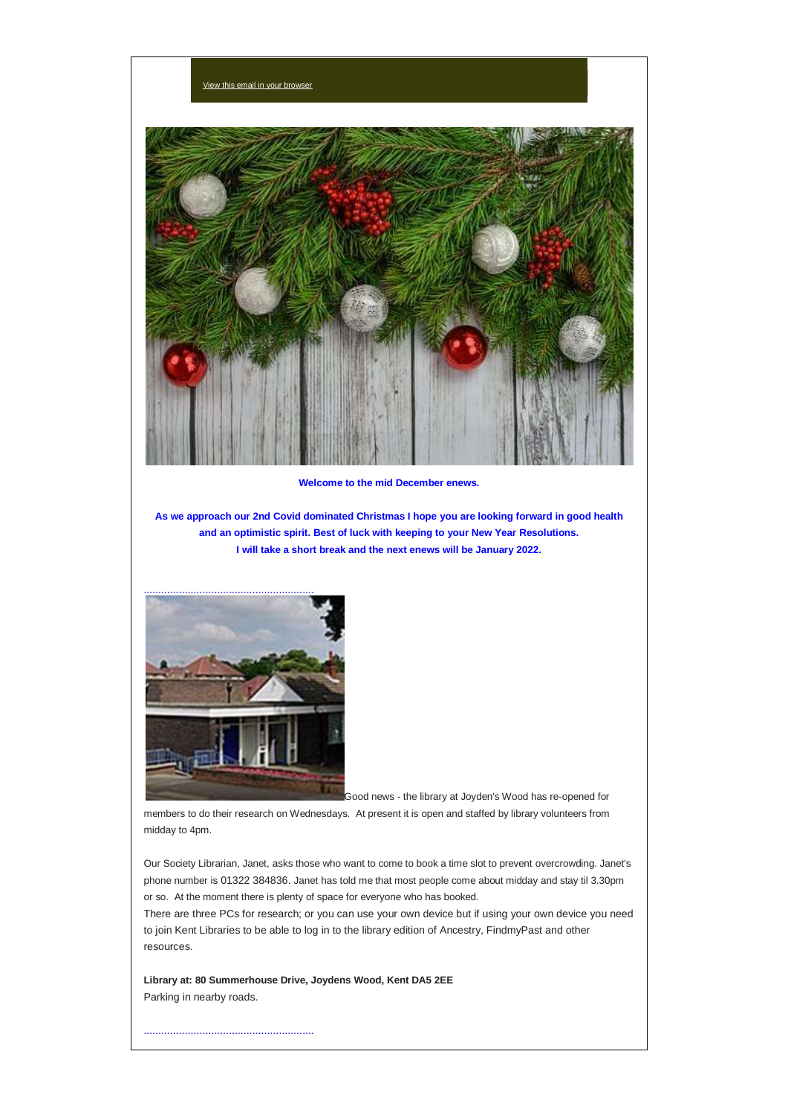

**Welcome to the mid December enews.**

**As we approach our 2nd Covid dominated Christmas I hope you are looking forward in good health and an optimistic spirit. Best of luck with keeping to your New Year Resolutions. I will take a short break and the next enews will be January 2022.**



nail in your bro

Good news - the library at Joyden's Wood has re-opened for

members to do their research on Wednesdays. At present it is open and staffed by library volunteers from midday to 4pm.

Our Society Librarian, Janet, asks those who want to come to book a time slot to prevent overcrowding. Janet's phone number is 01322 384836. Janet has told me that most people come about midday and stay til 3.30pm or so. At the moment there is plenty of space for everyone who has booked.

There are three PCs for research; or you can use your own device but if using your own device you need to join Kent Libraries to be able to log in to the library edition of Ancestry, FindmyPast and other resources.

**Library at: 80 Summerhouse Drive, Joydens Wood, Kent DA5 2EE** Parking in nearby roads.

..........................................................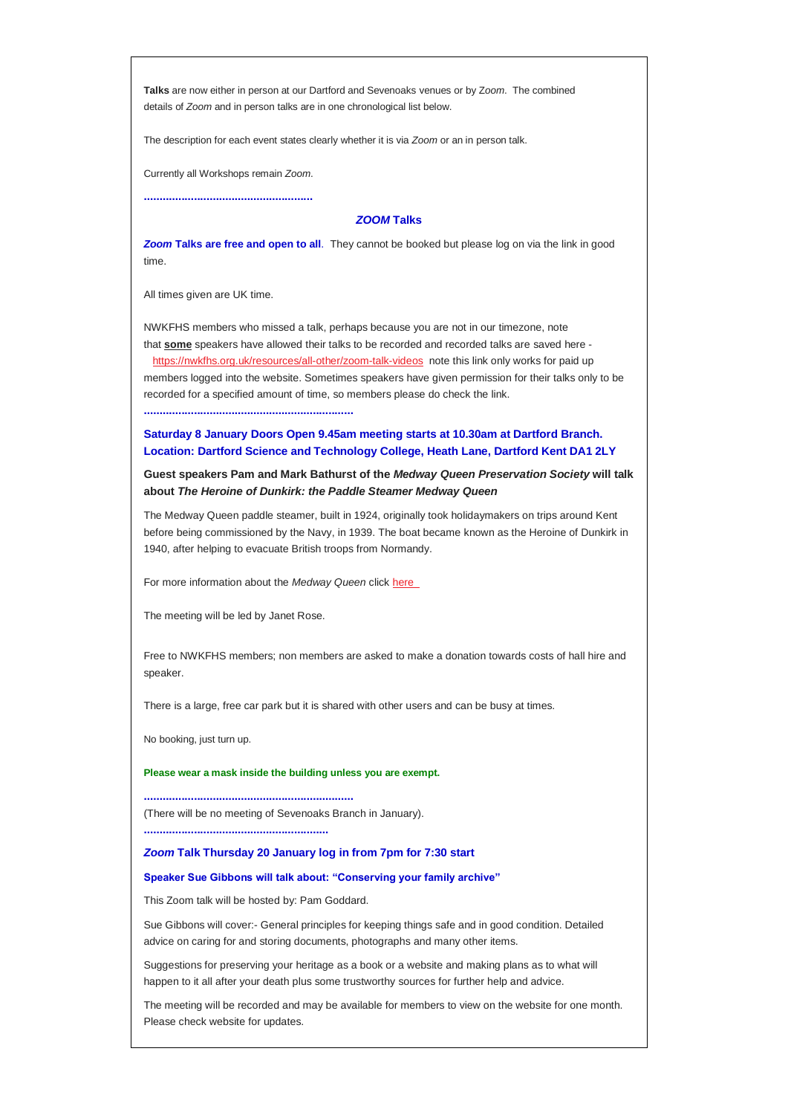**Talks** are now either in person at our Dartford and Sevenoaks venues or by Z*oom*. The combined details of *Zoom* and in person talks are in one chronological list below.

The description for each event states clearly whether it is via *Zoom* or an in person talk.

Currently all Workshops remain *Zoom*.

**......................................................**

## *ZOOM* **Talks**

*Zoom* **Talks are free and open to all**. They cannot be booked but please log on via the link in good time.

All times given are UK time.

NWKFHS members who missed a talk, perhaps because you are not in our timezone, note that **some** speakers have allowed their talks to be recorded and recorded talks are saved here <https://nwkfhs.org.uk/resources/all-other/zoom-talk-videos> note this link only works for paid up members logged into the website. Sometimes speakers have given permission for their talks only to be recorded for a specified amount of time, so members please do check the link.

**...................................................................**

**Saturday 8 January Doors Open 9.45am meeting starts at 10.30am at Dartford Branch. Location: Dartford Science and Technology College, Heath Lane, Dartford Kent DA1 2LY**

**Guest speakers Pam and Mark Bathurst of the** *Medway Queen Preservation Society* **will talk about** *The Heroine of Dunkirk: the Paddle Steamer Medway Queen*

The Medway Queen paddle steamer, built in 1924, originally took holidaymakers on trips around Kent before being commissioned by the Navy, in 1939. The boat became known as the Heroine of Dunkirk in 1940, after helping to evacuate British troops from Normandy.

For more information about the *Medway Queen* click here

The meeting will be led by Janet Rose.

Free to NWKFHS members; non members are asked to make a donation towards costs of hall hire and speaker.

There is a large, free car park but it is shared with other users and can be busy at times.

No booking, just turn up.

**Please wear a mask inside the building unless you are exempt.**

**...................................................................** (There will be no meeting of Sevenoaks Branch in January).

*Zoom* **Talk Thursday 20 January log in from 7pm for 7:30 start**

## **Speaker Sue Gibbons will talk about: "Conserving your family archive"**

This Zoom talk will be hosted by: Pam Goddard.

**...........................................................**

Sue Gibbons will cover:- General principles for keeping things safe and in good condition. Detailed advice on caring for and storing documents, photographs and many other items.

Suggestions for preserving your heritage as a book or a website and making plans as to what will happen to it all after your death plus some trustworthy sources for further help and advice.

The meeting will be recorded and may be available for members to view on the website for one month. Please check website for updates.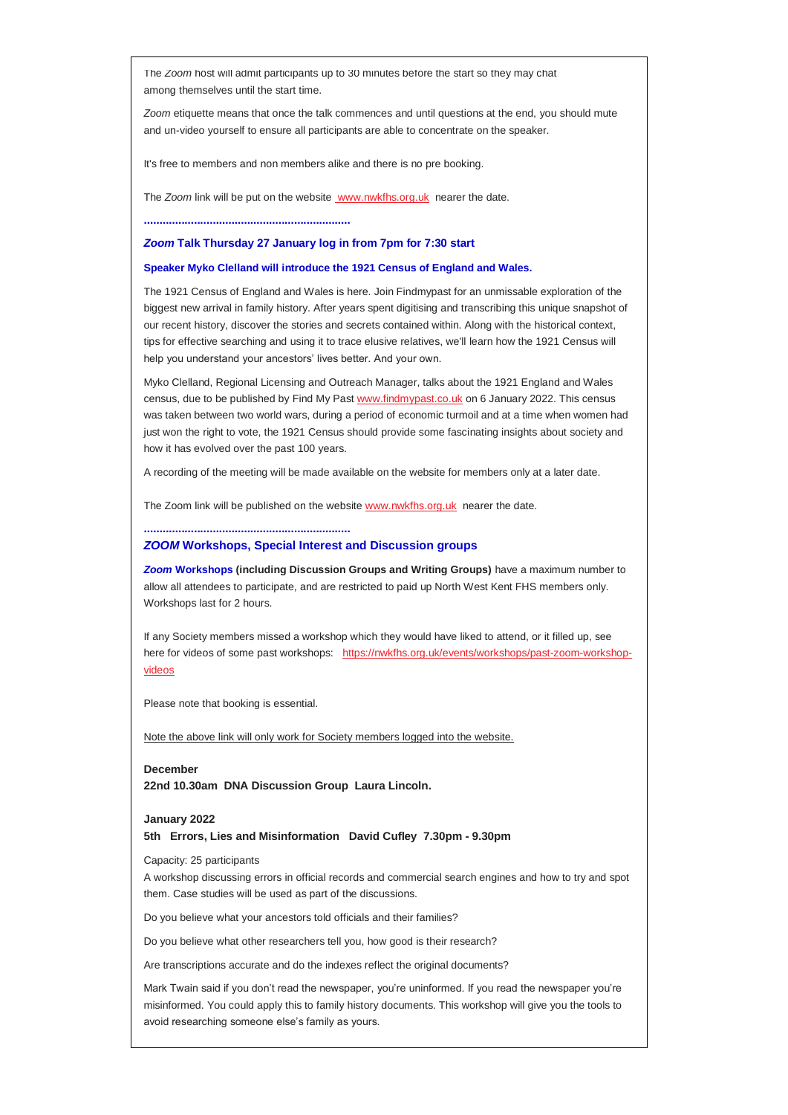The *Zoom* host will admit participants up to 30 minutes before the start so they may chat among themselves until the start time.

*Zoom* etiquette means that once the talk commences and until questions at the end, you should mute and un-video yourself to ensure all participants are able to concentrate on the speaker.

It's free to members and non members alike and there is no pre booking.

The *Zoom* link will be put on the website [www.nwkfhs.org.uk](http://www.nwkfhs.org.uk/) nearer the date.

**..................................................................**

### *Zoom* **Talk Thursday 27 January log in from 7pm for 7:30 start**

### **Speaker Myko Clelland will introduce the 1921 Census of England and Wales.**

The 1921 Census of England and Wales is here. Join Findmypast for an unmissable exploration of the biggest new arrival in family history. After years spent digitising and transcribing this unique snapshot of our recent history, discover the stories and secrets contained within. Along with the historical context, tips for effective searching and using it to trace elusive relatives, we'll learn how the 1921 Census will help you understand your ancestors' lives better. And your own.

Myko Clelland, Regional Licensing and Outreach Manager, talks about the 1921 England and Wales census, due to be published by Find My Past [www.findmypast.co.uk](http://www.findmypast.co.uk/) on 6 January 2022. This census was taken between two world wars, during a period of economic turmoil and at a time when women had just won the right to vote, the 1921 Census should provide some fascinating insights about society and how it has evolved over the past 100 years.

A recording of the meeting will be made available on the website for members only at a later date.

The Zoom link will be published on the website [www.nwkfhs.org.uk](http://www.nwkfhs.org.uk/) nearer the date.

**..................................................................**

### *ZOOM* **Workshops, Special Interest and Discussion groups**

*Zoom* **Workshops (including Discussion Groups and Writing Groups)** have a maximum number to allow all attendees to participate, and are restricted to paid up North West Kent FHS members only. Workshops last for 2 hours.

If any Society members missed a workshop which they would have liked to attend, or it filled up, see here for videos of some past workshops: [https://nwkfhs.org.uk/events/workshops/past-zoom-workshop](https://nwkfhs.org.uk/events/workshops/past-zoom-workshop-videos)[videos](https://nwkfhs.org.uk/events/workshops/past-zoom-workshop-videos)

Please note that booking is essential.

Note the above link will only work for Society members logged into the website.

## **December**

**22nd 10.30am DNA Discussion Group Laura Lincoln.**

#### **January 2022**

**5th Errors, Lies and Misinformation David Cufley 7.30pm - 9.30pm**

#### Capacity: 25 participants

A workshop discussing errors in official records and commercial search engines and how to try and spot them. Case studies will be used as part of the discussions.

Do you believe what your ancestors told officials and their families?

Do you believe what other researchers tell you, how good is their research?

Are transcriptions accurate and do the indexes reflect the original documents?

Mark Twain said if you don't read the newspaper, you're uninformed. If you read the newspaper you're misinformed. You could apply this to family history documents. This workshop will give you the tools to avoid researching someone else's family as yours.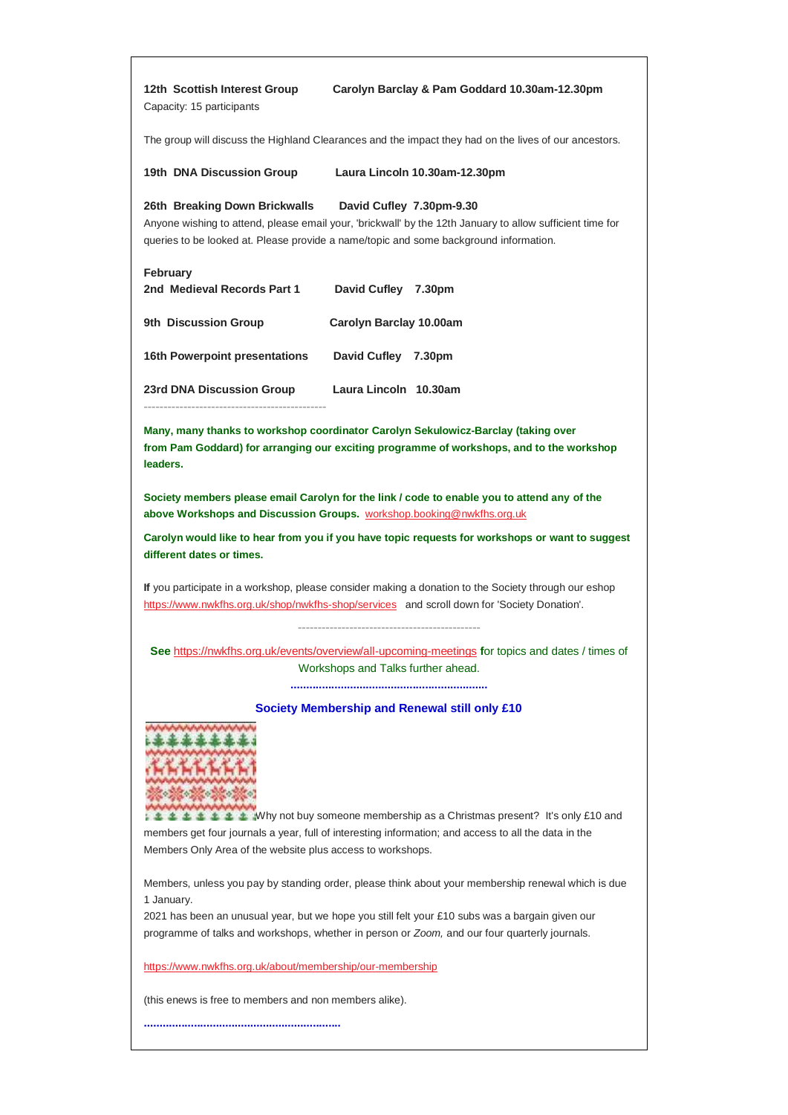| 12th Scottish Interest Group<br>Capacity: 15 participants                                                                                                                                                                                                       | Carolyn Barclay & Pam Goddard 10.30am-12.30pm                                                                                         |
|-----------------------------------------------------------------------------------------------------------------------------------------------------------------------------------------------------------------------------------------------------------------|---------------------------------------------------------------------------------------------------------------------------------------|
| The group will discuss the Highland Clearances and the impact they had on the lives of our ancestors.                                                                                                                                                           |                                                                                                                                       |
| 19th DNA Discussion Group                                                                                                                                                                                                                                       | Laura Lincoln 10.30am-12.30pm                                                                                                         |
| 26th Breaking Down Brickwalls<br>David Cufley 7.30pm-9.30<br>Anyone wishing to attend, please email your, 'brickwall' by the 12th January to allow sufficient time for<br>queries to be looked at. Please provide a name/topic and some background information. |                                                                                                                                       |
| February<br>2nd Medieval Records Part 1                                                                                                                                                                                                                         | David Cufley 7.30pm                                                                                                                   |
| 9th Discussion Group                                                                                                                                                                                                                                            | Carolyn Barclay 10.00am                                                                                                               |
| <b>16th Powerpoint presentations</b>                                                                                                                                                                                                                            | David Cufley 7.30pm                                                                                                                   |
| <b>23rd DNA Discussion Group</b>                                                                                                                                                                                                                                | Laura Lincoln 10.30am                                                                                                                 |
| Many, many thanks to workshop coordinator Carolyn Sekulowicz-Barclay (taking over<br>from Pam Goddard) for arranging our exciting programme of workshops, and to the workshop<br>leaders.                                                                       |                                                                                                                                       |
| Society members please email Carolyn for the link / code to enable you to attend any of the<br>above Workshops and Discussion Groups. workshop.booking@nwkfhs.org.uk                                                                                            |                                                                                                                                       |
| Carolyn would like to hear from you if you have topic requests for workshops or want to suggest<br>different dates or times.                                                                                                                                    |                                                                                                                                       |
| If you participate in a workshop, please consider making a donation to the Society through our eshop<br>https://www.nwkfhs.org.uk/shop/nwkfhs-shop/services and scroll down for 'Society Donation'.                                                             |                                                                                                                                       |
|                                                                                                                                                                                                                                                                 | See https://nwkfhs.org.uk/events/overview/all-upcoming-meetings for topics and dates / times of<br>Workshops and Talks further ahead. |
| Society Membership and Renewal still only £10                                                                                                                                                                                                                   |                                                                                                                                       |
| <b>10</b> ± ± Why not buy someone membership as a Christmas present? It's only £10 and<br>members get four journals a year, full of interesting information; and access to all the data in the<br>Members Only Area of the website plus access to workshops.    |                                                                                                                                       |
| Members, unless you pay by standing order, please think about your membership renewal which is due<br>1 January.                                                                                                                                                |                                                                                                                                       |
| 2021 has been an unusual year, but we hope you still felt your £10 subs was a bargain given our<br>programme of talks and workshops, whether in person or Zoom, and our four quarterly journals.                                                                |                                                                                                                                       |
| https://www.nwkfhs.org.uk/about/membership/our-membership                                                                                                                                                                                                       |                                                                                                                                       |
| (this enews is free to members and non members alike).                                                                                                                                                                                                          |                                                                                                                                       |
|                                                                                                                                                                                                                                                                 |                                                                                                                                       |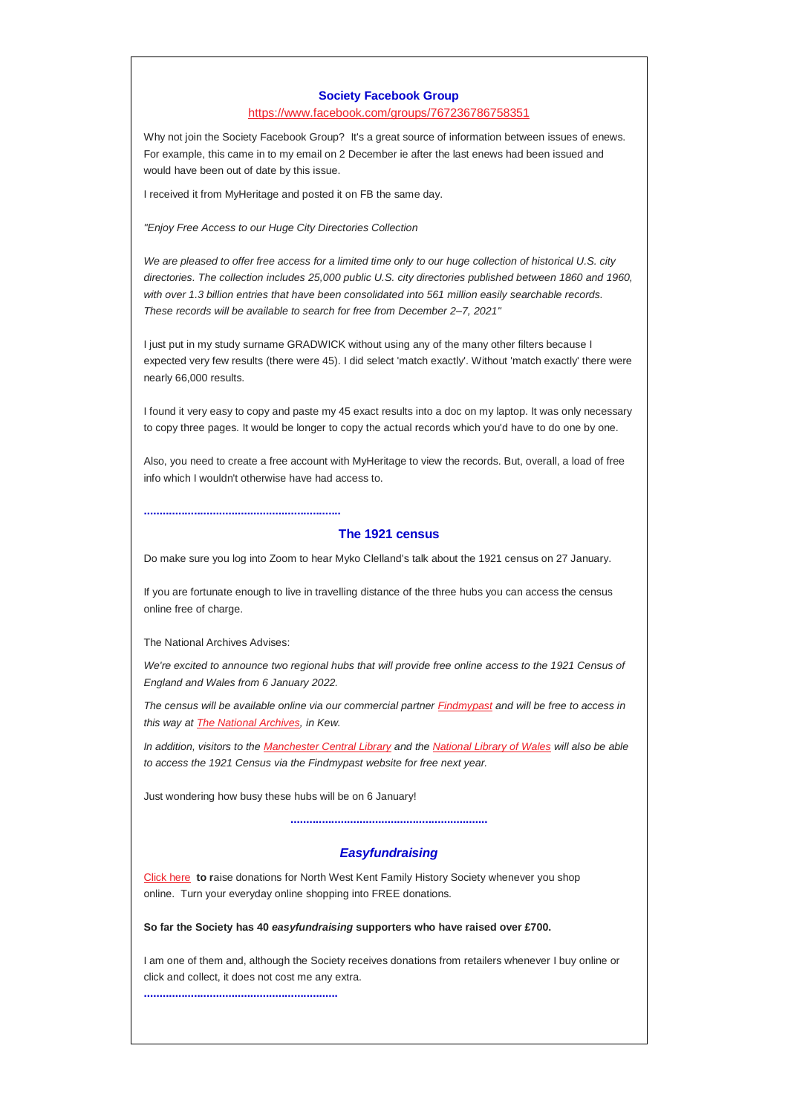#### **Society Facebook Group**

<https://www.facebook.com/groups/767236786758351>

Why not join the Society Facebook Group? It's a great source of information between issues of enews. For example, this came in to my email on 2 December ie after the last enews had been issued and would have been out of date by this issue.

I received it from MyHeritage and posted it on FB the same day.

*"Enjoy Free Access to our Huge City Directories Collection*

*We are pleased to offer free access for a limited time only to our huge collection of historical U.S. city directories. The collection includes 25,000 public U.S. city directories published between 1860 and 1960, with over 1.3 billion entries that have been consolidated into 561 million easily searchable records. These records will be available to search for free from December 2–7, 2021"*

I just put in my study surname GRADWICK without using any of the many other filters because I expected very few results (there were 45). I did select 'match exactly'. Without 'match exactly' there were nearly 66,000 results.

I found it very easy to copy and paste my 45 exact results into a doc on my laptop. It was only necessary to copy three pages. It would be longer to copy the actual records which you'd have to do one by one.

Also, you need to create a free account with MyHeritage to view the records. But, overall, a load of free info which I wouldn't otherwise have had access to.

### **The 1921 census**

Do make sure you log into Zoom to hear Myko Clelland's talk about the 1921 census on 27 January.

If you are fortunate enough to live in travelling distance of the three hubs you can access the census online free of charge.

The National Archives Advises:

**...............................................................**

We're excited to announce two regional hubs that will provide free online access to the 1921 Census of *England and Wales from 6 January 2022.*

*The census will be available online via our commercial partner [Findmypast](https://clicks.econnectmail.com/email/S-2493@209270@iuWQyFk3HkJ_tSF3XuXndPg-LK9DangWWghTtyAxZ5Y.@) and will be free to access in this way at [The National Archives,](https://clicks.econnectmail.com/email/S-2493@209271@iuWQyFk3HkJ_tSF3XuXndPg-LK9DangWWghTtyAxZ5Y.@) in Kew.*

*In addition, visitors to the [Manchester Central Library](https://clicks.econnectmail.com/email/S-2493@209272@iuWQyFk3HkJ_tSF3XuXndPg-LK9DangWWghTtyAxZ5Y.@) and the [National Library of Wales](https://clicks.econnectmail.com/email/S-2493@209273@iuWQyFk3HkJ_tSF3XuXndPg-LK9DangWWghTtyAxZ5Y.@) will also be able to access the 1921 Census via the Findmypast website for free next year.*

Just wondering how busy these hubs will be on 6 January!

**...............................................................**

# *Easyfundraising*

[Click here](https://nwkfhs.us4.list-manage.com/track/click?u=cde10858510442d6e71f0f3a6&id=9e364e11d6&e=64e4c544dc) **to r**aise donations for North West Kent Family History Society whenever you shop online. Turn your everyday online shopping into FREE donations.

**So far the Society has 40** *easyfundraising* **supporters who have raised over £700.**

I am one of them and, although the Society receives donations from retailers whenever I buy online or click and collect, it does not cost me any extra.

**..............................................................**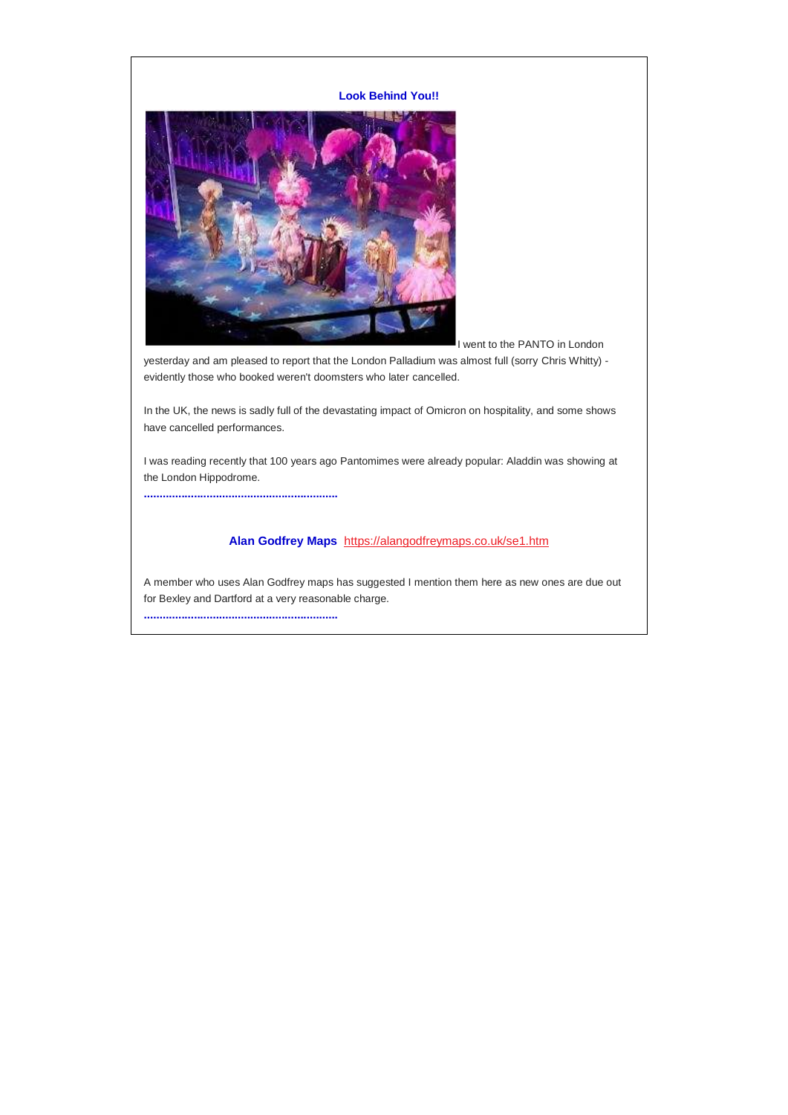## **Look Behind You!!**



I went to the PANTO in London

yesterday and am pleased to report that the London Palladium was almost full (sorry Chris Whitty) evidently those who booked weren't doomsters who later cancelled.

In the UK, the news is sadly full of the devastating impact of Omicron on hospitality, and some shows have cancelled performances.

I was reading recently that 100 years ago Pantomimes were already popular: Aladdin was showing at the London Hippodrome.

**..............................................................**

# **Alan Godfrey Maps** <https://alangodfreymaps.co.uk/se1.htm>

A member who uses Alan Godfrey maps has suggested I mention them here as new ones are due out for Bexley and Dartford at a very reasonable charge. **..............................................................**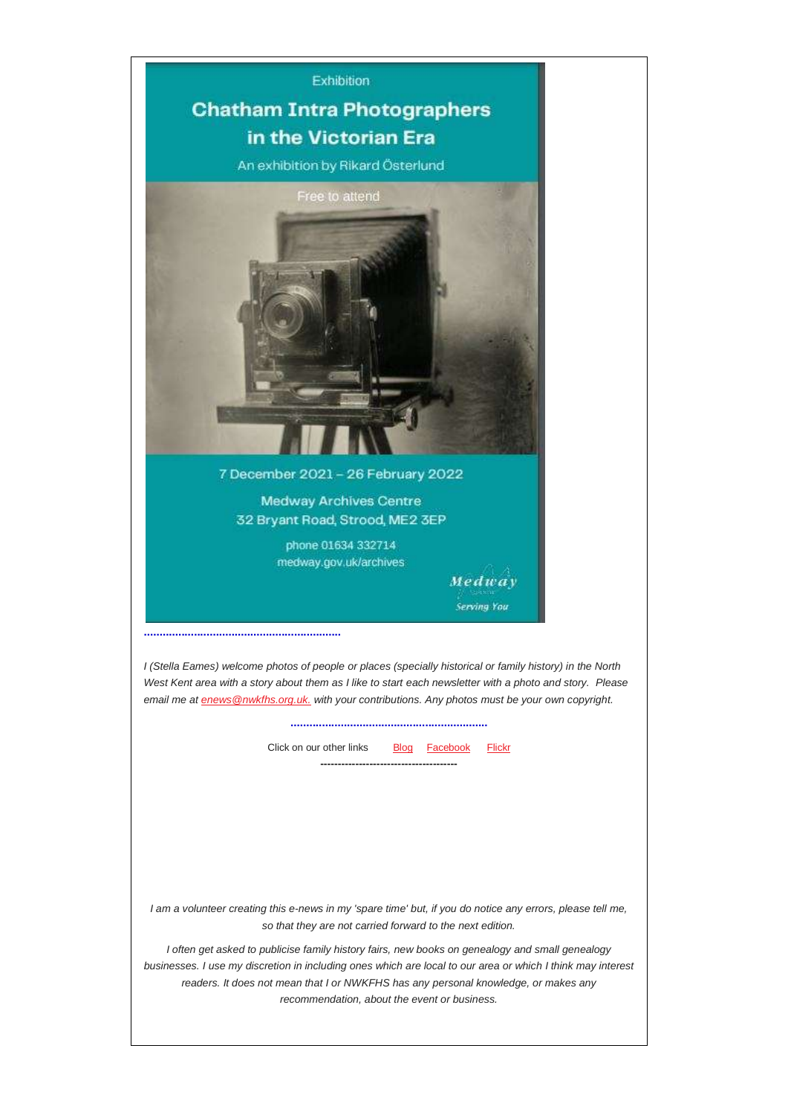